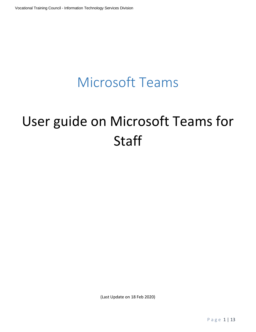## Microsoft Teams

# User guide on Microsoft Teams for **Staff**

(Last Update on 18 Feb 2020)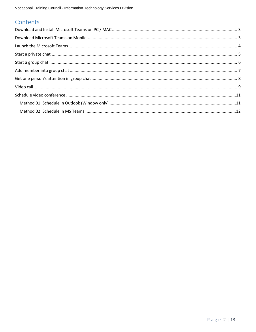## Contents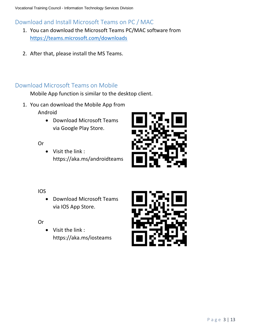## <span id="page-2-0"></span>Download and Install Microsoft Teams on PC / MAC

- 1. You can download the Microsoft Teams PC/MAC software from <https://teams.microsoft.com/downloads>
- 2. After that, please install the MS Teams.

#### <span id="page-2-1"></span>Download Microsoft Teams on Mobile

Mobile App function is similar to the desktop client.

- 1. You can download the Mobile App from Android
	- Download Microsoft Teams via Google Play Store.

Or

• Visit the link : https://aka.ms/androidteams



#### IOS

• Download Microsoft Teams via IOS App Store.

Or

• Visit the link : https://aka.ms/iosteams

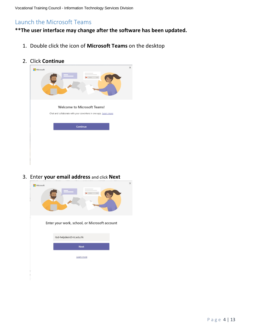## <span id="page-3-0"></span>Launch the Microsoft Teams

#### **\*\*The user interface may change after the software has been updated.**

- 1. Double click the icon of **Microsoft Teams** on the desktop
- 2. Click **Continue**

| Microsoft<br>De anno<br>-                                                                                         | $\times$ |
|-------------------------------------------------------------------------------------------------------------------|----------|
| <b>Welcome to Microsoft Teams!</b><br>Chat and collaborate with your coworkers in one app. Learn more<br>Continue |          |
|                                                                                                                   |          |
|                                                                                                                   |          |

3. Enter **your email address** and click **Next**

| Microsoft |                                               | $\times$ |
|-----------|-----------------------------------------------|----------|
|           |                                               |          |
|           | Enter your work, school, or Microsoft account |          |
|           | itsd-helpdesk@vtc.edu.hk                      |          |
|           | <b>Next</b>                                   |          |
|           | Learn more                                    |          |
|           |                                               |          |
|           |                                               |          |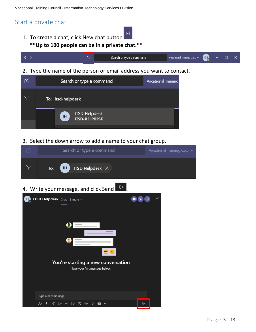#### <span id="page-4-0"></span>Start a private chat

1. To create a chat, click New chat button **\*\*Up to 100 people can be in a private chat.\*\***



2. Type the name of the person or email address you want to contact.

| Search or type a command                    | <b>Vocational Training</b> |
|---------------------------------------------|----------------------------|
| To: itsd-helpdesk                           |                            |
| ITSD Helpdesk<br>ITSD-HELPDESK<br><b>IH</b> |                            |

3. Select the down arrow to add a name to your chat group.

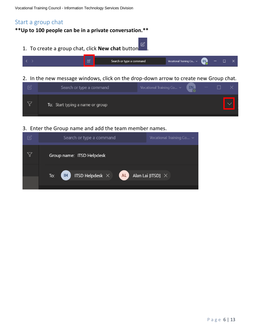## <span id="page-5-0"></span>Start a group chat

**\*\*Up to 100 people can be in a private conversation.\*\***

1. To create a group chat, click **New chat** button .



2. In the new message windows, click on the drop-down arrow to create new Group chat.

| Search or type a command         | Vocational Training Co $\sim$ (EN) |  |  |
|----------------------------------|------------------------------------|--|--|
| To: Start typing a name or group |                                    |  |  |

3. Enter the Group name and add the team member names.

| Search or type a command<br>Vocational Training Co v                                                                 |  |
|----------------------------------------------------------------------------------------------------------------------|--|
| Group name: ITSD Helpdesk                                                                                            |  |
| $\overline{\phantom{a}}$ ITSD Helpdesk $\times$ $\overline{\phantom{a}}$ AL<br>Alan Lai [ITSD] $\times$<br>ŒD<br>To: |  |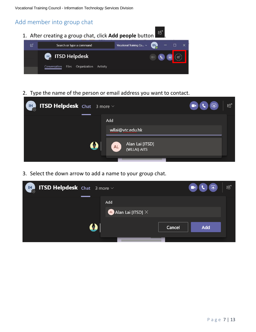#### <span id="page-6-0"></span>Add member into group chat



2. Type the name of the person or email address you want to contact.



3. Select the down arrow to add a name to your group chat.

| <b>IHE ITSD Helpdesk</b> Chat 3 more $\sim$ |          |     |                                                       |        | $\boxed{P}$<br>$\blacksquare$ | ໍ දීඊ |
|---------------------------------------------|----------|-----|-------------------------------------------------------|--------|-------------------------------|-------|
|                                             |          | Add |                                                       |        |                               |       |
|                                             |          |     | $\left( \mathsf{AL} \right)$ Alan Lai [ITSD] $\times$ |        |                               |       |
|                                             | <b>C</b> |     |                                                       | Cancel | <b>Add</b>                    |       |
|                                             |          |     |                                                       |        |                               |       |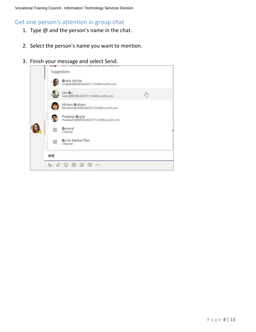## <span id="page-7-0"></span>Get one person's attention in group chat

- 1. Type  $@$  and the person's name in the chat.
- 2. Select the person's name you want to mention.
- 3. Finish your message and select Send.

|    | Grady Archie<br>GradyA@M365x622511.OnMicrosoft.com    |        |  |
|----|-------------------------------------------------------|--------|--|
|    | Lee Gu<br>LeeG@M365x622511.OnMicrosoft.com            | ليسيكم |  |
|    | Miriam Graham<br>MiriamG@M365x622511.OnMicrosoft.com  |        |  |
|    | Pradeep Gupta<br>PradeepG@M365x622511.OnMicrosoft.com |        |  |
| 阊  | General<br>Channel                                    |        |  |
| 阊  | Go to Market Plan<br>Channel                          |        |  |
| @G |                                                       |        |  |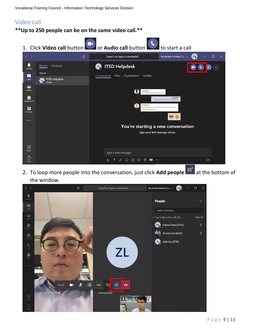Vocational Training Council - Information Technology Services Division

## <span id="page-8-0"></span>Video call

**\*\*Up to 250 people can be on the same video call.\*\***

1. Click **Video call** button **or Audio call** button to start a call

| $\rightarrow$          | $\mathbb{Z}$                                        | Search or type a command                                         | Vocational Training Co v<br>EN<br>$\times$ |
|------------------------|-----------------------------------------------------|------------------------------------------------------------------|--------------------------------------------|
| ц<br>Activity          | Contacts<br>Recent                                  | <b>ITSD Helpdesk</b><br>$\mathbb{H}_\odot$                       | eo <sup>+</sup>                            |
| $\blacksquare$         | Recent                                              | Files<br>Organization<br>Activity<br>Conversation                |                                            |
| Chat                   | <b>ITSD Helpdesk</b><br>$\mathbb{F}_\circ$<br>Draft |                                                                  |                                            |
| ij.<br>Teams           |                                                     | O                                                                |                                            |
| â<br>Assignments       |                                                     |                                                                  |                                            |
| Ξ<br>Calendar          |                                                     |                                                                  |                                            |
| $\cdots$               |                                                     |                                                                  | $\bullet$                                  |
|                        |                                                     | You're starting a new conversation                               |                                            |
|                        |                                                     |                                                                  | Type your first message below.             |
|                        |                                                     |                                                                  |                                            |
| $\mathbb{B}$<br>Apps   |                                                     |                                                                  |                                            |
|                        |                                                     | Type a new message                                               |                                            |
| $\circledcirc$<br>Help |                                                     | A<br>O,<br>GF<br>$\mathbb{G}$<br>曲<br>☺<br>$\bullet$<br>$\cdots$ | $\triangleright$                           |

2. To loop more people into the conversation, just click **Add people**  $\frac{26^+}{10^+}$  at the bottom of the window.

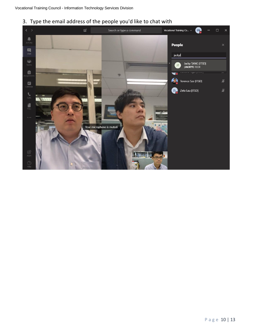3. Type the email address of the people you'd like to chat with

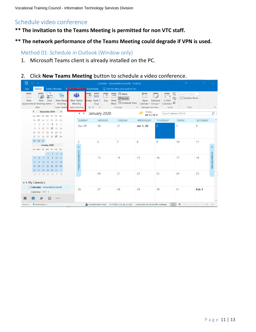### <span id="page-10-0"></span>Schedule video conference

#### **\*\* The invitation to the Teams Meeting is permitted for non VTC staff.**

#### **\*\* The network performance of the Teams Meeting could degrade if VPN is used.**

#### <span id="page-10-1"></span>Method 01: Schedule in Outlook (Window only)

1. Microsoft Teams client is already installed on the PC.

#### 2. Click **New Teams Meeting** button to schedule a video conference.

| 鬋<br>the control                                                                                              |                                                                                                                    | Calendar - edwardn@vtc.edu.hk - Outlook                                                                                                     |                                                                                            | 困                                                                                        | $\Box$                              |
|---------------------------------------------------------------------------------------------------------------|--------------------------------------------------------------------------------------------------------------------|---------------------------------------------------------------------------------------------------------------------------------------------|--------------------------------------------------------------------------------------------|------------------------------------------------------------------------------------------|-------------------------------------|
| Send / Receive<br>File<br>Home                                                                                | Grammarly<br>$M_{\rm{2000}}$                                                                                       | $\Omega$ Tell me what you want to do                                                                                                        |                                                                                            |                                                                                          |                                     |
| <u>କ୍ଟ</u><br>New Skype<br>New<br>New<br>New<br>Appointment Meeting Items v<br>Meeting<br>Skype Meetin<br>New | ďi<br>$\blacktriangleleft$<br>щø.<br>New Teams<br>Today Next 7<br>Meeting<br>Days<br>Go To<br><b>Teams Meeting</b> | $\overline{\cdots}$ Week<br><b>Time</b><br>₩<br><b>Month</b><br>Work<br>Day<br>Week E Schedule View<br>$\overline{\mathbb{F}_M}$<br>Arrange | Calendar<br>Open<br>Calendar * Groups *<br>Manage Calendars<br>$\overline{\mathbb{F}_M}$ . | Search People<br>嘎<br><b>B</b> Address Book<br>e.<br>E-mail<br>Calendar<br>Share<br>Find | $\wedge$                            |
| $\blacktriangleleft$<br>December 2019<br>k                                                                    | $4 - F$                                                                                                            | January 2020                                                                                                                                | Today<br>凚<br>84°F/78°F                                                                    | Search Calendar (Ctrl+E)                                                                 | Q                                   |
| SU MO TU WE TH FR SA<br>25 26 27 28<br>29<br>30<br>24                                                         | <b>SUNDAY</b>                                                                                                      | <b>MONDAY</b><br><b>TUESDAY</b>                                                                                                             | WEDNESDAY                                                                                  | <b>THURSDAY</b><br><b>FRIDAY</b>                                                         | $\blacktriangle$<br><b>SATURDAY</b> |
| $\overline{\mathbf{3}}$<br>5<br>6<br>2<br>$\overline{4}$<br>$\overline{7}$<br>-1                              | <b>Dec 29</b>                                                                                                      | 30<br>31                                                                                                                                    |                                                                                            | $\overline{3}$                                                                           | $\overline{4}$                      |
| 11 12 13 14<br>8<br>Q<br>10                                                                                   |                                                                                                                    |                                                                                                                                             | $\overline{2}$<br>Jan 1, 20                                                                |                                                                                          |                                     |
| 18 19 20<br>15<br>16<br>17<br>21                                                                              |                                                                                                                    |                                                                                                                                             |                                                                                            |                                                                                          |                                     |
| 23 24 25 26 27 28<br>22<br>29 30 31                                                                           |                                                                                                                    |                                                                                                                                             |                                                                                            |                                                                                          |                                     |
| January 2020                                                                                                  | 6<br>5                                                                                                             | 7                                                                                                                                           | 8<br>9                                                                                     | 10                                                                                       | 11                                  |
| SU MO TU WE TH FR SA                                                                                          | le-                                                                                                                |                                                                                                                                             |                                                                                            |                                                                                          | $\rightarrow$                       |
| $1 \quad 2 \quad 3 \quad 4$                                                                                   |                                                                                                                    |                                                                                                                                             |                                                                                            |                                                                                          |                                     |
| $9 \t10$<br>5<br>6<br>$\overline{7}$<br>8<br>11                                                               | Previous Appointment                                                                                               | 13<br>14                                                                                                                                    | 15<br>16                                                                                   | 17                                                                                       | Next Appointment<br>18              |
| 13<br>14<br>15 16<br>17 18<br>12 <sup>2</sup><br>19 20 21 22 23 24 25                                         |                                                                                                                    |                                                                                                                                             |                                                                                            |                                                                                          |                                     |
| 26 27 28 29 30 31<br>$\blacksquare$                                                                           |                                                                                                                    |                                                                                                                                             |                                                                                            |                                                                                          |                                     |
| 2 3 4 5 6 7 8                                                                                                 |                                                                                                                    | 20<br>21                                                                                                                                    | 22<br>23                                                                                   | 24                                                                                       | 25                                  |
|                                                                                                               |                                                                                                                    |                                                                                                                                             |                                                                                            |                                                                                          |                                     |
| $\blacktriangle$ $\blacksquare$ My Calendars<br>Calendar - edwardn@vtc.edu.hk                                 |                                                                                                                    |                                                                                                                                             |                                                                                            |                                                                                          |                                     |
| Calendar - VTC - 2                                                                                            | 26                                                                                                                 | 27<br>28                                                                                                                                    | 29<br>30                                                                                   | 31                                                                                       | Feb <sub>1</sub>                    |
|                                                                                                               |                                                                                                                    |                                                                                                                                             |                                                                                            |                                                                                          |                                     |
| जि<br>$\bullet$ $\bullet$ $\bullet$                                                                           |                                                                                                                    |                                                                                                                                             |                                                                                            |                                                                                          |                                     |
| <b>E</b> Reminders: 1<br>Items: 0                                                                             |                                                                                                                    | Send/Receive error All folders are up to date. Connected to: Microsoft Exchange                                                             |                                                                                            | 軍<br>m.                                                                                  | $+ 10%$                             |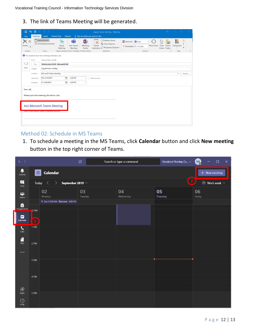Vocational Training Council - Information Technology Services Division

3. The link of Teams Meeting will be generated.

| 日                                          | $\sigma$<br>$\epsilon$              | <b>Carl College</b>                           |                                                                     |                             |                                    |                                          | regular team meeting - Meeting                                                                  |  |                                                     |              | 图                            |                        | $\Box$ | $\propto$ |
|--------------------------------------------|-------------------------------------|-----------------------------------------------|---------------------------------------------------------------------|-----------------------------|------------------------------------|------------------------------------------|-------------------------------------------------------------------------------------------------|--|-----------------------------------------------------|--------------|------------------------------|------------------------|--------|-----------|
| File                                       | Meeting                             | Insert                                        | <b>Format Text</b>                                                  | Review                      |                                    | $\Omega$ Tell me what you want to do     |                                                                                                 |  |                                                     |              |                              |                        |        |           |
| $\times$<br>Delete $\bigcirc$ -<br>Actions |                                     | Appointment<br>Scheduling Assistant<br>Show   | G,<br>Skype<br>Meeting<br>Skype Meeting Teams Meeting Meeting Notes | th<br>Join Teams<br>Meeting | N <sub>3</sub><br>Meeting<br>Notes | $\mathbb{P}_{\bm{\mathsf{X}}}$<br>Cancel | <b>Address Book</b><br>မ်ိ <sub>ဳ</sub> Check Names<br>Invitation Response Options<br>Attendees |  | ZZ Show As: Busy<br>Reminder: 15 minutes<br>Options | - Recurrence | Room<br>Time<br>Zones Finder | ҂<br>Categorize<br>Fs. | Tags   | $\wedge$  |
|                                            |                                     | You haven't sent this meeting invitation yet. |                                                                     |                             |                                    |                                          |                                                                                                 |  |                                                     |              |                              |                        |        |           |
|                                            | From                                | edwardn@vtc.edu.hk                            |                                                                     |                             |                                    |                                          |                                                                                                 |  |                                                     |              |                              |                        |        |           |
| ₹E*                                        | <b>To</b>                           | Terence Sze [ITSD]; Zeta Lau [ITSD]           |                                                                     |                             |                                    |                                          |                                                                                                 |  |                                                     |              |                              |                        |        |           |
| Send                                       | Subject                             | reqular team meeting                          |                                                                     |                             |                                    |                                          |                                                                                                 |  |                                                     |              |                              |                        |        |           |
|                                            | Location                            | <b>Microsoft Teams Meeting</b>                |                                                                     |                             |                                    |                                          |                                                                                                 |  |                                                     |              |                              |                        | ٠      | Rooms     |
|                                            | Start time                          | Thu 9/19/2019                                 | $\overline{\mathbf{p}}$                                             | 2:00 PM                     | $\checkmark$                       | All day event                            |                                                                                                 |  |                                                     |              |                              |                        |        |           |
|                                            | <b>End time</b>                     | Fri 9/20/2019                                 | $\overline{\mathbf{u}}$                                             | 2:00 PM                     | ۰                                  |                                          |                                                                                                 |  |                                                     |              |                              |                        |        |           |
| Dear all,                                  |                                     |                                               |                                                                     |                             |                                    |                                          |                                                                                                 |  |                                                     |              |                              |                        |        |           |
|                                            |                                     |                                               |                                                                     |                             |                                    |                                          |                                                                                                 |  |                                                     |              |                              |                        |        |           |
|                                            |                                     | Please join the meeting via below Link.       |                                                                     |                             |                                    |                                          |                                                                                                 |  |                                                     |              |                              |                        |        |           |
|                                            |                                     |                                               |                                                                     |                             |                                    |                                          |                                                                                                 |  |                                                     |              |                              |                        |        |           |
|                                            | <b>Join Microsoft Teams Meeting</b> |                                               |                                                                     |                             |                                    |                                          |                                                                                                 |  |                                                     |              |                              |                        |        |           |
| Learn more about reams inteemig options    |                                     |                                               |                                                                     |                             |                                    |                                          |                                                                                                 |  |                                                     |              |                              |                        |        |           |
|                                            |                                     |                                               |                                                                     |                             |                                    |                                          |                                                                                                 |  |                                                     |              |                              |                        |        |           |
|                                            |                                     |                                               |                                                                     |                             |                                    |                                          |                                                                                                 |  |                                                     |              |                              |                        |        |           |
|                                            |                                     |                                               |                                                                     |                             |                                    |                                          |                                                                                                 |  |                                                     |              |                              |                        |        |           |

#### <span id="page-11-0"></span>Method 02: Schedule in MS Teams

1. To schedule a meeting in the MS Teams, click **Calendar** button and click **New meeting** button in the top right corner of Teams.

| $\langle \quad \rangle$                                                                |                                    |                                                                              | $\ensuremath{\mathcal{C}}$ | Search or type a command | Vocational Training Co ~ | $\times$<br>EN <sub>C</sub><br>$\Box$ |
|----------------------------------------------------------------------------------------|------------------------------------|------------------------------------------------------------------------------|----------------------------|--------------------------|--------------------------|---------------------------------------|
| $\begin{array}{c} \begin{array}{c} \bullet \\ \text{Activity} \end{array} \end{array}$ | ij                                 | <b>Calendar</b>                                                              |                            |                          |                          | $+$ New meeting                       |
| $\blacksquare$<br>Chat                                                                 |                                    | Today $\langle$<br>September 2019 $\,\vee\,$<br>$\left\langle \right\rangle$ |                            |                          | 2                        | $\Box$ Work week $\vee$               |
| ij.<br>Teams                                                                           |                                    | 02<br>Monday                                                                 | 03<br>Tuesday              | 04<br>Wednesday          | 05<br>Thursday           | 06<br>Friday                          |
| â                                                                                      |                                    | 1 Sep 1 9:00 AM Remove 6:00 PM                                               |                            |                          |                          |                                       |
| Assignments<br>▦<br>Calendar                                                           | $12$ PM<br>$\overline{\mathbf{1}}$ |                                                                              |                            |                          |                          |                                       |
| $\mathbf{C}$<br>Calls                                                                  | 1 PM                               |                                                                              |                            |                          |                          |                                       |
| F<br><b>Files</b>                                                                      | 2 PM                               |                                                                              |                            |                          |                          |                                       |
| $\cdots$                                                                               |                                    |                                                                              |                            |                          |                          |                                       |
|                                                                                        | 3 PM                               |                                                                              |                            |                          |                          |                                       |
|                                                                                        | 4 PM                               |                                                                              |                            |                          |                          |                                       |
| $\bigoplus$<br>Apps                                                                    | 5 PM                               |                                                                              |                            |                          |                          |                                       |
| $\odot$<br>HeIp                                                                        |                                    |                                                                              |                            |                          |                          |                                       |